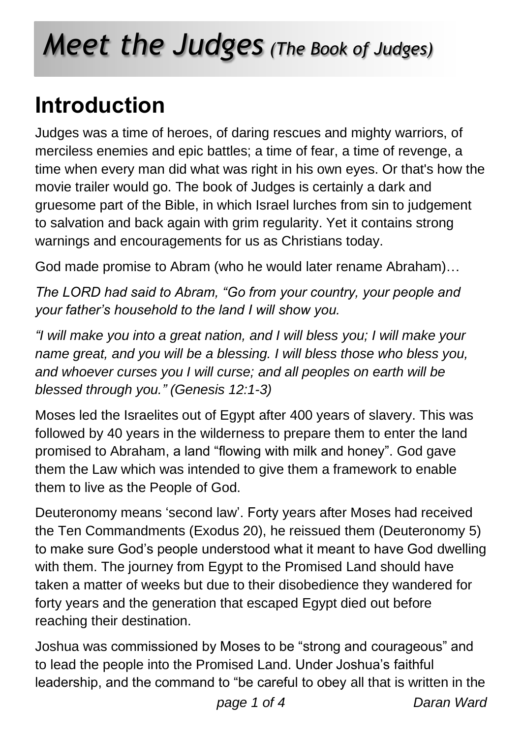# *Meet the Judges (The Book of Judges)*

## **Introduction**

Judges was a time of heroes, of daring rescues and mighty warriors, of merciless enemies and epic battles; a time of fear, a time of revenge, a time when every man did what was right in his own eyes. Or that's how the movie trailer would go. The book of Judges is certainly a dark and gruesome part of the Bible, in which Israel lurches from sin to judgement to salvation and back again with grim regularity. Yet it contains strong warnings and encouragements for us as Christians today.

God made promise to Abram (who he would later rename Abraham)…

*The LORD had said to Abram, "Go from your country, your people and your father's household to the land I will show you.*

*"I will make you into a great nation, and I will bless you; I will make your name great, and you will be a blessing. I will bless those who bless you, and whoever curses you I will curse; and all peoples on earth will be blessed through you." (Genesis 12:1-3)*

Moses led the Israelites out of Egypt after 400 years of slavery. This was followed by 40 years in the wilderness to prepare them to enter the land promised to Abraham, a land "flowing with milk and honey". God gave them the Law which was intended to give them a framework to enable them to live as the People of God.

Deuteronomy means 'second law'. Forty years after Moses had received the Ten Commandments (Exodus 20), he reissued them (Deuteronomy 5) to make sure God's people understood what it meant to have God dwelling with them. The journey from Egypt to the Promised Land should have taken a matter of weeks but due to their disobedience they wandered for forty years and the generation that escaped Egypt died out before reaching their destination.

Joshua was commissioned by Moses to be "strong and courageous" and to lead the people into the Promised Land. Under Joshua's faithful leadership, and the command to "be careful to obey all that is written in the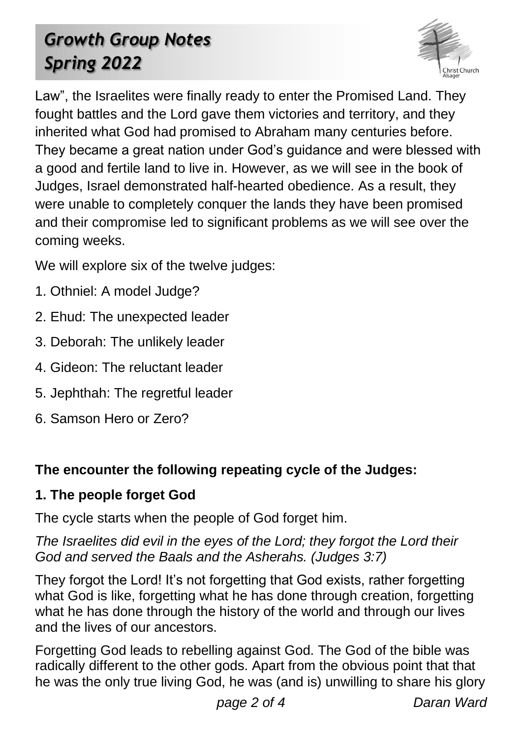### *Growth Group Notes Spring 2022*



Law", the Israelites were finally ready to enter the Promised Land. They fought battles and the Lord gave them victories and territory, and they inherited what God had promised to Abraham many centuries before. They became a great nation under God's guidance and were blessed with a good and fertile land to live in. However, as we will see in the book of Judges, Israel demonstrated half-hearted obedience. As a result, they were unable to completely conquer the lands they have been promised and their compromise led to significant problems as we will see over the coming weeks.

We will explore six of the twelve judges:

- 1. Othniel: A model Judge?
- 2. Ehud: The unexpected leader
- 3. Deborah: The unlikely leader
- 4. Gideon: The reluctant leader
- 5. Jephthah: The regretful leader
- 6. Samson Hero or Zero?

#### **The encounter the following repeating cycle of the Judges:**

#### **1. The people forget God**

The cycle starts when the people of God forget him.

*The Israelites did evil in the eyes of the Lord; they forgot the Lord their God and served the Baals and the Asherahs. (Judges 3:7)*

They forgot the Lord! It's not forgetting that God exists, rather forgetting what God is like, forgetting what he has done through creation, forgetting what he has done through the history of the world and through our lives and the lives of our ancestors.

Forgetting God leads to rebelling against God. The God of the bible was radically different to the other gods. Apart from the obvious point that that he was the only true living God, he was (and is) unwilling to share his glory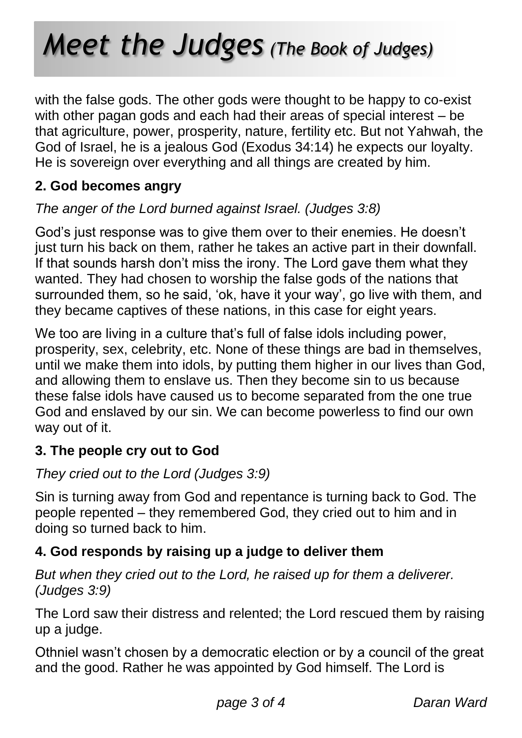## *Meet the Judges (The Book of Judges)*

with the false gods. The other gods were thought to be happy to co-exist with other pagan gods and each had their areas of special interest – be that agriculture, power, prosperity, nature, fertility etc. But not Yahwah, the God of Israel, he is a jealous God (Exodus 34:14) he expects our loyalty. He is sovereign over everything and all things are created by him.

#### **2. God becomes angry**

#### *The anger of the Lord burned against Israel. (Judges 3:8)*

God's just response was to give them over to their enemies. He doesn't just turn his back on them, rather he takes an active part in their downfall. If that sounds harsh don't miss the irony. The Lord gave them what they wanted. They had chosen to worship the false gods of the nations that surrounded them, so he said, 'ok, have it your way', go live with them, and they became captives of these nations, in this case for eight years.

We too are living in a culture that's full of false idols including power, prosperity, sex, celebrity, etc. None of these things are bad in themselves, until we make them into idols, by putting them higher in our lives than God, and allowing them to enslave us. Then they become sin to us because these false idols have caused us to become separated from the one true God and enslaved by our sin. We can become powerless to find our own way out of it.

#### **3. The people cry out to God**

#### *They cried out to the Lord (Judges 3:9)*

Sin is turning away from God and repentance is turning back to God. The people repented – they remembered God, they cried out to him and in doing so turned back to him.

#### **4. God responds by raising up a judge to deliver them**

#### *But when they cried out to the Lord, he raised up for them a deliverer. (Judges 3:9)*

The Lord saw their distress and relented; the Lord rescued them by raising up a judge.

Othniel wasn't chosen by a democratic election or by a council of the great and the good. Rather he was appointed by God himself. The Lord is